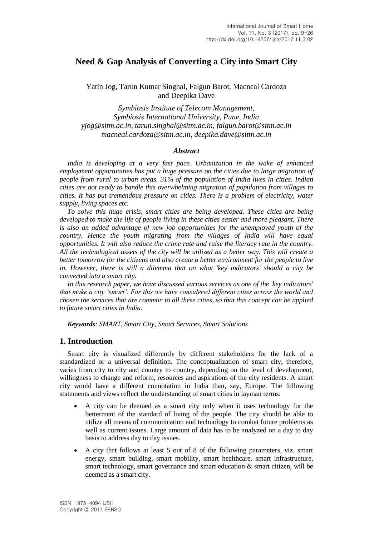# **Need & Gap Analysis of Converting a City into Smart City**

Yatin Jog, Tarun Kumar Singhal, Falgun Barot, Macneal Cardoza and Deepika Dave

*Symbiosis Institute of Telecom Management, Symbiosis International University, Pune, India yjog@sitm.ac.in, tarun.singhal@sitm.ac.in, falgun.barot@sitm.ac.in macneal.cardoza@sitm.ac.in, deepika.dave@sitm.ac.in*

#### *Abstract*

*India is developing at a very fast pace. Urbanization in the wake of enhanced employment opportunities has put a huge pressure on the cities due to large migration of people from rural to urban areas. 31% of the population of India lives in cities. Indian cities are not ready to handle this overwhelming migration of population from villages to cities. It has put tremendous pressure on cities. There is a problem of electricity, water supply, living spaces etc.*

*To solve this huge crisis, smart cities are being developed. These cities are being developed to make the life of people living in these cities easier and more pleasant. There is also an added advantage of new job opportunities for the unemployed youth of the country. Hence the youth migrating from the villages of India will have equal opportunities. It will also reduce the crime rate and raise the literacy rate in the country. All the technological assets of the city will be utilized ns a better way. This will create a better tomorrow for the citizens and also create a better environment for the people to live in. However, there is still a dilemma that on what 'key indicators' should a city be converted into a smart city.*

*In this research paper, we have discussed various services as one of the 'key indicators' that make a city 'smart'. For this we have considered different cities across the world and chosen the services that are common to all these cities, so that this concept can be applied to future smart cities in India.*

*Keywords: SMART, Smart City, Smart Services, Smart Solutions*

### **1. Introduction**

Smart city is visualized differently by different stakeholders for the lack of a standardized or a universal definition. The conceptualization of smart city, therefore, varies from city to city and country to country, depending on the level of development, willingness to change and reform, resources and aspirations of the city residents. A smart city would have a different connotation in India than, say, Europe. The following statements and views reflect the understanding of smart cities in layman terms:

- A city can be deemed as a smart city only when it uses technology for the betterment of the standard of living of the people. The city should be able to utilize all means of communication and technology to combat future problems as well as current issues. Large amount of data has to be analyzed on a day to day basis to address day to day issues.
- A city that follows at least 5 out of 8 of the following parameters, viz. smart energy, smart building, smart mobility, smart healthcare, smart infrastructure, smart technology, smart governance and smart education & smart citizen, will be deemed as a smart city.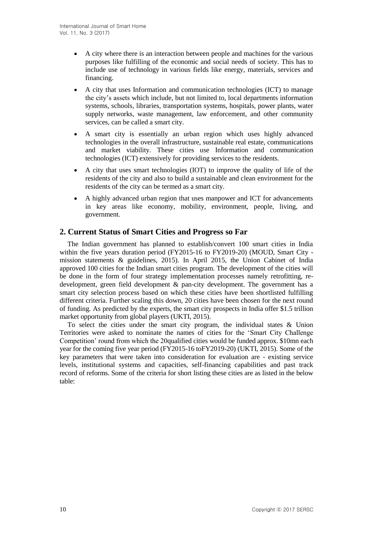- A city where there is an interaction between people and machines for the various purposes like fulfilling of the economic and social needs of society. This has to include use of technology in various fields like energy, materials, services and financing.
- A city that uses Information and communication technologies (ICT) to manage the city's assets which include, but not limited to, local departments information systems, schools, libraries, transportation systems, hospitals, power plants, water supply networks, waste management, law enforcement, and other community services, can be called a smart city.
- A smart city is essentially an urban region which uses highly advanced technologies in the overall infrastructure, sustainable real estate, communications and market viability. These cities use Information and communication technologies (ICT) extensively for providing services to the residents.
- A city that uses smart technologies (IOT) to improve the quality of life of the residents of the city and also to build a sustainable and clean environment for the residents of the city can be termed as a smart city.
- A highly advanced urban region that uses manpower and ICT for advancements in key areas like economy, mobility, environment, people, living, and government.

# **2. Current Status of Smart Cities and Progress so Far**

The Indian government has planned to establish/convert 100 smart cities in India within the five years duration period (FY2015-16 to FY2019-20) (MOUD, Smart City mission statements & guidelines, 2015). In April 2015, the Union Cabinet of India approved 100 cities for the Indian smart cities program. The development of the cities will be done in the form of four strategy implementation processes namely retrofitting, redevelopment, green field development & pan-city development. The government has a smart city selection process based on which these cities have been shortlisted fulfilling different criteria. Further scaling this down, 20 cities have been chosen for the next round of funding. As predicted by the experts, the smart city prospects in India offer \$1.5 trillion market opportunity from global players (UKTI, 2015).

To select the cities under the smart city program, the individual states & Union Territories were asked to nominate the names of cities for the 'Smart City Challenge Competition' round from which the 20qualified cities would be funded approx. \$10mn each year for the coming five year period (FY2015-16 toFY2019-20) (UKTI, 2015). Some of the key parameters that were taken into consideration for evaluation are - existing service levels, institutional systems and capacities, self-financing capabilities and past track record of reforms. Some of the criteria for short listing these cities are as listed in the below table: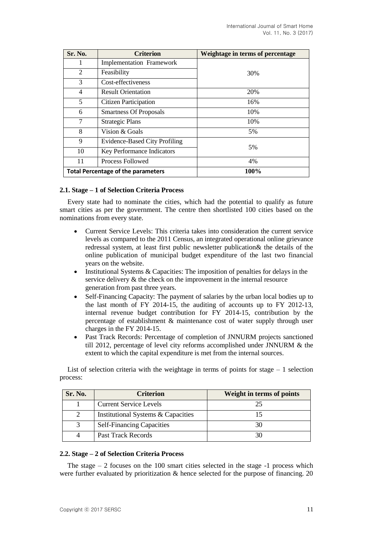| Sr. No.                                   | <b>Criterion</b>                     | Weightage in terms of percentage |  |  |
|-------------------------------------------|--------------------------------------|----------------------------------|--|--|
| 1                                         | <b>Implementation Framework</b>      |                                  |  |  |
| $\overline{2}$                            | Feasibility                          | 30%                              |  |  |
| 3                                         | Cost-effectiveness                   |                                  |  |  |
| 4                                         | <b>Result Orientation</b>            | 20%                              |  |  |
| 5                                         | <b>Citizen Participation</b>         | 16%                              |  |  |
| 6                                         | <b>Smartness Of Proposals</b>        | 10%                              |  |  |
| 7                                         | 10%<br><b>Strategic Plans</b>        |                                  |  |  |
| 8                                         | Vision & Goals                       | 5%                               |  |  |
| 9                                         | <b>Evidence-Based City Profiling</b> | 5%                               |  |  |
| 10                                        | Key Performance Indicators           |                                  |  |  |
| 11                                        | Process Followed                     | 4%                               |  |  |
| <b>Total Percentage of the parameters</b> |                                      | 100%                             |  |  |

### **2.1. Stage – 1 of Selection Criteria Process**

Every state had to nominate the cities, which had the potential to qualify as future smart cities as per the government. The centre then shortlisted 100 cities based on the nominations from every state.

- Current Service Levels: This criteria takes into consideration the current service levels as compared to the 2011 Census, an integrated operational online grievance redressal system, at least first public newsletter publication& the details of the online publication of municipal budget expenditure of the last two financial years on the website.
- Institutional Systems & Capacities: The imposition of penalties for delays in the service delivery & the check on the improvement in the internal resource generation from past three years.
- Self-Financing Capacity: The payment of salaries by the urban local bodies up to the last month of FY 2014-15, the auditing of accounts up to FY 2012-13, internal revenue budget contribution for FY 2014-15, contribution by the percentage of establishment & maintenance cost of water supply through user charges in the FY 2014-15.
- Past Track Records: Percentage of completion of JNNURM projects sanctioned till 2012, percentage of level city reforms accomplished under JNNURM & the extent to which the capital expenditure is met from the internal sources.

List of selection criteria with the weightage in terms of points for stage  $-1$  selection process:

| Sr. No. | <b>Criterion</b>                   | <b>Weight in terms of points</b> |
|---------|------------------------------------|----------------------------------|
|         | <b>Current Service Levels</b>      |                                  |
|         | Institutional Systems & Capacities |                                  |
|         | <b>Self-Financing Capacities</b>   |                                  |
|         | Past Track Records                 |                                  |

### **2.2. Stage – 2 of Selection Criteria Process**

The stage  $-2$  focuses on the 100 smart cities selected in the stage  $-1$  process which were further evaluated by prioritization & hence selected for the purpose of financing. 20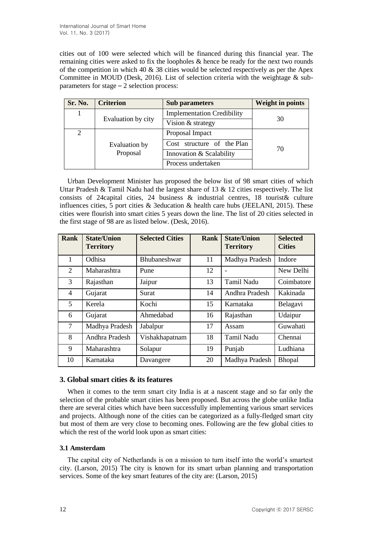cities out of 100 were selected which will be financed during this financial year. The remaining cities were asked to fix the loopholes & hence be ready for the next two rounds of the competition in which  $40 \& 38$  cities would be selected respectively as per the Apex Committee in MOUD (Desk, 2016). List of selection criteria with the weightage  $\&$  subparameters for stage – 2 selection process:

| Sr. No. | <b>Criterion</b>   | <b>Sub parameters</b>             | <b>Weight in points</b> |  |
|---------|--------------------|-----------------------------------|-------------------------|--|
|         |                    | <b>Implementation Credibility</b> | 30                      |  |
|         | Evaluation by city | Vision & strategy                 |                         |  |
| 2       |                    | Proposal Impact                   |                         |  |
|         | Evaluation by      | Cost structure of the Plan        | 70                      |  |
|         | Proposal           | Innovation & Scalability          |                         |  |
|         |                    | Process undertaken                |                         |  |

Urban Development Minister has proposed the below list of 98 smart cities of which Uttar Pradesh & Tamil Nadu had the largest share of 13  $\&$  12 cities respectively. The list consists of 24capital cities, 24 business & industrial centres, 18 tourist& culture influences cities, 5 port cities  $\&$  3 education  $\&$  health care hubs (JEELANI, 2015). These cities were flourish into smart cities 5 years down the line. The list of 20 cities selected in the first stage of 98 are as listed below. (Desk, 2016).

| <b>Rank</b>    | <b>State/Union</b><br><b>Territory</b> | <b>Selected Cities</b> | <b>Rank</b> | <b>State/Union</b><br><b>Territory</b> | <b>Selected</b><br><b>Cities</b> |
|----------------|----------------------------------------|------------------------|-------------|----------------------------------------|----------------------------------|
| 1              | Odhisa                                 | <b>Bhubaneshwar</b>    | 11          | Madhya Pradesh                         | Indore                           |
| 2              | Maharashtra                            | Pune                   | 12          |                                        | New Delhi                        |
| $\overline{3}$ | Rajasthan                              | Jaipur                 | 13          | Tamil Nadu                             | Coimbatore                       |
| 4              | Gujarat                                | Surat                  | 14          | Andhra Pradesh                         | Kakinada                         |
| 5              | Kerela                                 | Kochi                  | 15          | Karnataka                              | Belagavi                         |
| 6              | Gujarat                                | Ahmedabad              | 16          | Rajasthan                              | Udaipur                          |
| 7              | Madhya Pradesh                         | Jabalpur               | 17          | Assam                                  | Guwahati                         |
| 8              | Andhra Pradesh                         | Vishakhapatnam         | 18          | <b>Tamil Nadu</b>                      | Chennai                          |
| 9              | Maharashtra                            | Solapur                | 19          | Punjab                                 | Ludhiana                         |
| 10             | Karnataka                              | Davangere              | 20          | Madhya Pradesh                         | <b>Bhopal</b>                    |

# **3. Global smart cities & its features**

When it comes to the term smart city India is at a nascent stage and so far only the selection of the probable smart cities has been proposed. But across the globe unlike India there are several cities which have been successfully implementing various smart services and projects. Although none of the cities can be categorized as a fully-fledged smart city but most of them are very close to becoming ones. Following are the few global cities to which the rest of the world look upon as smart cities:

# **3.1 Amsterdam**

The capital city of Netherlands is on a mission to turn itself into the world's smartest city. (Larson, 2015) The city is known for its smart urban planning and transportation services. Some of the key smart features of the city are: (Larson, 2015)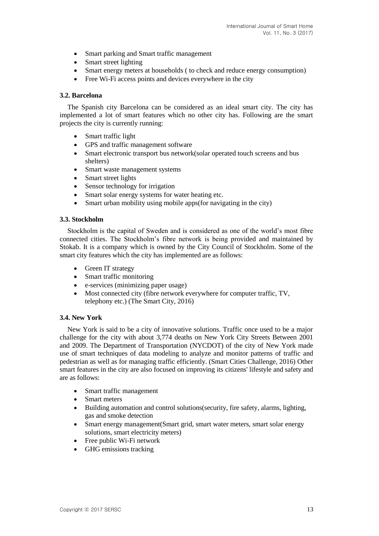- Smart parking and Smart traffic management
- Smart street lighting
- Smart energy meters at households ( to check and reduce energy consumption)
- Free Wi-Fi access points and devices everywhere in the city

### **3.2. Barcelona**

The Spanish city Barcelona can be considered as an ideal smart city. The city has implemented a lot of smart features which no other city has. Following are the smart projects the city is currently running:

- Smart traffic light
- GPS and traffic management software
- Smart electronic transport bus network(solar operated touch screens and bus shelters)
- Smart waste management systems
- Smart street lights
- Sensor technology for irrigation
- Smart solar energy systems for water heating etc.
- Smart urban mobility using mobile apps(for navigating in the city)

### **3.3. Stockholm**

Stockholm is the capital of Sweden and is considered as one of the world's most fibre connected cities. The Stockholm's fibre network is being provided and maintained by Stokab. It is a company which is owned by the City Council of Stockholm. Some of the smart city features which the city has implemented are as follows:

- Green IT strategy
- Smart traffic monitoring
- e-services (minimizing paper usage)
- Most connected city (fibre network everywhere for computer traffic, TV, telephony etc.) (The Smart City, 2016)

### **3.4. New York**

New York is said to be a city of innovative solutions. Traffic once used to be a major challenge for the city with about 3,774 deaths on New York City Streets Between 2001 and 2009. The Department of Transportation (NYCDOT) of the city of New York made use of smart techniques of data modeling to analyze and monitor patterns of traffic and pedestrian as well as for managing traffic efficiently. (Smart Cities Challenge, 2016) Other smart features in the city are also focused on improving its citizens' lifestyle and safety and are as follows:

- Smart traffic management
- Smart meters
- Building automation and control solutions(security, fire safety, alarms, lighting, gas and smoke detection
- Smart energy management(Smart grid, smart water meters, smart solar energy solutions, smart electricity meters)
- Free public Wi-Fi network
- GHG emissions tracking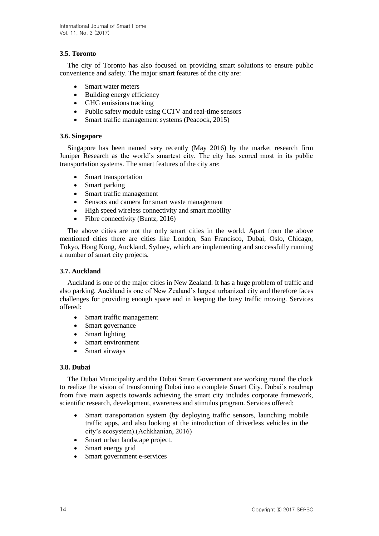# **3.5. Toronto**

The city of Toronto has also focused on providing smart solutions to ensure public convenience and safety. The major smart features of the city are:

- Smart water meters
- Building energy efficiency
- GHG emissions tracking
- Public safety module using CCTV and real-time sensors
- Smart traffic management systems (Peacock, 2015)

### **3.6. Singapore**

Singapore has been named very recently (May 2016) by the market research firm Juniper Research as the world's smartest city. The city has scored most in its public transportation systems. The smart features of the city are:

- Smart transportation
- Smart parking
- Smart traffic management
- Sensors and camera for smart waste management
- High speed wireless connectivity and smart mobility
- Fibre connectivity (Buntz, 2016)

The above cities are not the only smart cities in the world. Apart from the above mentioned cities there are cities like London, San Francisco, Dubai, Oslo, Chicago, Tokyo, Hong Kong, Auckland, Sydney, which are implementing and successfully running a number of smart city projects.

### **3.7. Auckland**

Auckland is one of the major cities in New Zealand. It has a huge problem of traffic and also parking. Auckland is one of New Zealand's largest urbanized city and therefore faces challenges for providing enough space and in keeping the busy traffic moving. Services offered:

- Smart traffic management
- Smart governance
- Smart lighting
- Smart environment
- Smart airways

### **3.8. Dubai**

The Dubai Municipality and the Dubai Smart Government are working round the clock to realize the vision of transforming Dubai into a complete Smart City. Dubai's roadmap from five main aspects towards achieving the smart city includes corporate framework, scientific research, development, awareness and stimulus program. Services offered:

- Smart transportation system (by deploying traffic sensors, launching mobile traffic apps, and also looking at the introduction of driverless vehicles in the city's ecosystem).(Achkhanian, 2016)
- Smart urban landscape project.
- Smart energy grid
- Smart government e-services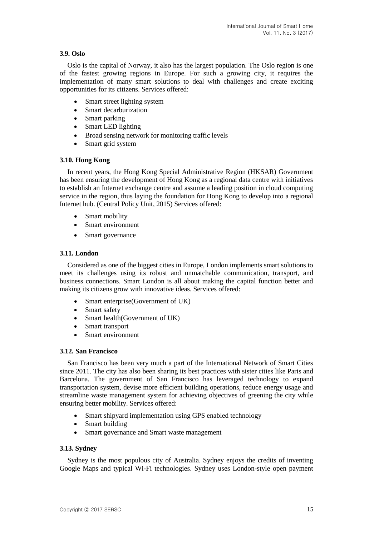## **3.9. Oslo**

Oslo is the capital of Norway, it also has the largest population. The Oslo region is one of the fastest growing regions in Europe. For such a growing city, it requires the implementation of many smart solutions to deal with challenges and create exciting opportunities for its citizens. Services offered:

- Smart street lighting system
- Smart decarburization
- Smart parking
- Smart LED lighting
- Broad sensing network for monitoring traffic levels
- Smart grid system

### **3.10. Hong Kong**

In recent years, the Hong Kong Special Administrative Region (HKSAR) Government has been ensuring the development of Hong Kong as a regional data centre with initiatives to establish an Internet exchange centre and assume a leading position in cloud computing service in the region, thus laying the foundation for Hong Kong to develop into a regional Internet hub. (Central Policy Unit, 2015) Services offered:

- Smart mobility
- Smart environment
- Smart governance

### **3.11. London**

Considered as one of the biggest cities in Europe, London implements smart solutions to meet its challenges using its robust and unmatchable communication, transport, and business connections. Smart London is all about making the capital function better and making its citizens grow with innovative ideas. Services offered:

- Smart enterprise(Government of UK)
- Smart safety
- Smart health(Government of UK)
- Smart transport
- Smart environment

### **3.12. San Francisco**

San Francisco has been very much a part of the International Network of Smart Cities since 2011. The city has also been sharing its best practices with sister cities like Paris and Barcelona. The government of San Francisco has leveraged technology to expand transportation system, devise more efficient building operations, reduce energy usage and streamline waste management system for achieving objectives of greening the city while ensuring better mobility. Services offered:

- Smart shipyard implementation using GPS enabled technology
- Smart building
- Smart governance and Smart waste management

### **3.13. Sydney**

Sydney is the most populous city of Australia. Sydney enjoys the credits of inventing Google Maps and typical Wi-Fi technologies. Sydney uses London-style open payment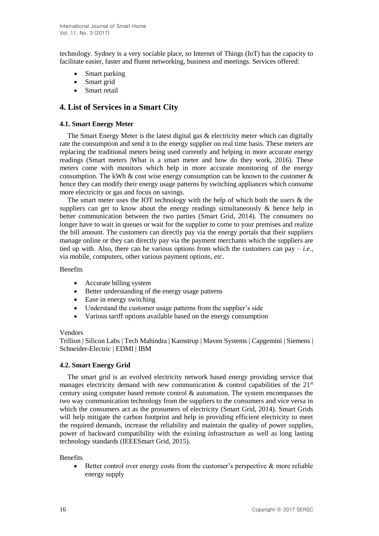technology. Sydney is a very sociable place, so Internet of Things (IoT) has the capacity to facilitate easier, faster and fluent networking, business and meetings. Services offered:

- Smart parking
- Smart grid
- Smart retail

# **4. List of Services in a Smart City**

### **4.1. Smart Energy Meter**

The Smart Energy Meter is the latest digital gas & electricity meter which can digitally rate the consumption and send it to the energy supplier on real time basis. These meters are replacing the traditional meters being used currently and helping in more accurate energy readings (Smart meters |What is a smart meter and how do they work, 2016). These meters come with monitors which help in more accurate monitoring of the energy consumption. The kWh  $\&$  cost wise energy consumption can be known to the customer  $\&$ hence they can modify their energy usage patterns by switching appliances which consume more electricity or gas and focus on savings.

The smart meter uses the IOT technology with the help of which both the users  $\&$  the suppliers can get to know about the energy readings simultaneously & hence help in better communication between the two parties (Smart Grid, 2014). The consumers no longer have to wait in queues or wait for the supplier to come to your premises and realize the bill amount. The customers can directly pay via the energy portals that their suppliers manage online or they can directly pay via the payment merchants which the suppliers are tied up with. Also, there can be various options from which the customers can pay – *i.e.*, via mobile, computers, other various payment options, *etc*.

### **Benefits**

- Accurate billing system
- Better understanding of the energy usage patterns
- Ease in energy switching
- Understand the customer usage patterns from the supplier's side
- Various tariff options available based on the energy consumption

### Vendors

Trillion | Silicon Labs | Tech Mahindra | Kamstrup | Maven Systems | Capgemini | Siemens | Schneider-Electric | EDMI | IBM

# **4.2. Smart Energy Grid**

The smart grid is an evolved electricity network based energy providing service that manages electricity demand with new communication  $\&$  control capabilities of the 21<sup>st</sup> century using computer based remote control & automation. The system encompasses the two way communication technology from the suppliers to the consumers and vice versa in which the consumers act as the prosumers of electricity (Smart Grid, 2014). Smart Grids will help mitigate the carbon footprint and help in providing efficient electricity to meet the required demands, increase the reliability and maintain the quality of power supplies, power of backward compatibility with the existing infrastructure as well as long lasting technology standards (IEEESmart Grid, 2015).

### **Benefits**

 $\bullet$  Better control over energy costs from the customer's perspective & more reliable energy supply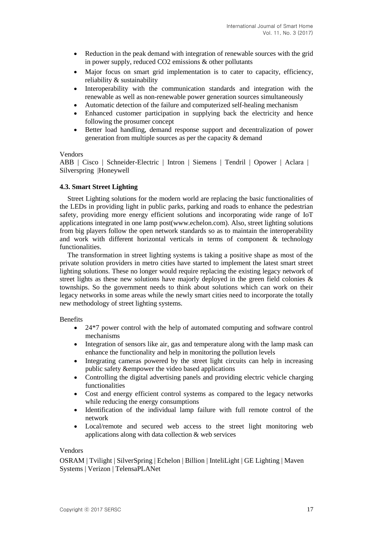- Reduction in the peak demand with integration of renewable sources with the grid in power supply, reduced CO2 emissions & other pollutants
- Major focus on smart grid implementation is to cater to capacity, efficiency, reliability & sustainability
- Interoperability with the communication standards and integration with the renewable as well as non-renewable power generation sources simultaneously
- Automatic detection of the failure and computerized self-healing mechanism
- Enhanced customer participation in supplying back the electricity and hence following the prosumer concept
- Better load handling, demand response support and decentralization of power generation from multiple sources as per the capacity & demand

#### Vendors

ABB | Cisco | Schneider-Electric | Intron | Siemens | Tendril | Opower | Aclara | Silverspring |Honeywell

#### **4.3. Smart Street Lighting**

Street Lighting solutions for the modern world are replacing the basic functionalities of the LEDs in providing light in public parks, parking and roads to enhance the pedestrian safety, providing more energy efficient solutions and incorporating wide range of IoT applications integrated in one lamp post(www.echelon.com). Also, street lighting solutions from big players follow the open network standards so as to maintain the interoperability and work with different horizontal verticals in terms of component  $\&$  technology functionalities.

The transformation in street lighting systems is taking a positive shape as most of the private solution providers in metro cities have started to implement the latest smart street lighting solutions. These no longer would require replacing the existing legacy network of street lights as these new solutions have majorly deployed in the green field colonies  $\&$ townships. So the government needs to think about solutions which can work on their legacy networks in some areas while the newly smart cities need to incorporate the totally new methodology of street lighting systems.

Benefits

- 24\*7 power control with the help of automated computing and software control mechanisms
- Integration of sensors like air, gas and temperature along with the lamp mask can enhance the functionality and help in monitoring the pollution levels
- Integrating cameras powered by the street light circuits can help in increasing public safety &empower the video based applications
- Controlling the digital advertising panels and providing electric vehicle charging functionalities
- Cost and energy efficient control systems as compared to the legacy networks while reducing the energy consumptions
- Identification of the individual lamp failure with full remote control of the network
- Local/remote and secured web access to the street light monitoring web applications along with data collection & web services

#### Vendors

OSRAM | Tvilight | SilverSpring | Echelon | Billion | InteliLight | GE Lighting | Maven Systems | Verizon | TelensaPLANet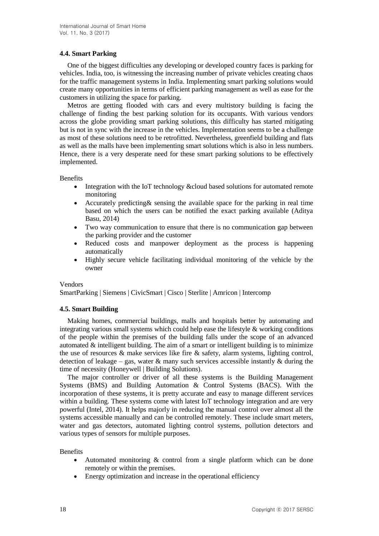## **4.4. Smart Parking**

One of the biggest difficulties any developing or developed country faces is parking for vehicles. India, too, is witnessing the increasing number of private vehicles creating chaos for the traffic management systems in India. Implementing smart parking solutions would create many opportunities in terms of efficient parking management as well as ease for the customers in utilizing the space for parking.

Metros are getting flooded with cars and every multistory building is facing the challenge of finding the best parking solution for its occupants. With various vendors across the globe providing smart parking solutions, this difficulty has started mitigating but is not in sync with the increase in the vehicles. Implementation seems to be a challenge as most of these solutions need to be retrofitted. Nevertheless, greenfield building and flats as well as the malls have been implementing smart solutions which is also in less numbers. Hence, there is a very desperate need for these smart parking solutions to be effectively implemented.

Benefits

- Integration with the IoT technology & cloud based solutions for automated remote monitoring
- Accurately predicting& sensing the available space for the parking in real time based on which the users can be notified the exact parking available (Aditya Basu, 2014)
- Two way communication to ensure that there is no communication gap between the parking provider and the customer
- Reduced costs and manpower deployment as the process is happening automatically
- Highly secure vehicle facilitating individual monitoring of the vehicle by the owner

### Vendors

SmartParking | Siemens | CivicSmart | Cisco | Sterlite | Amricon | Intercomp

### **4.5. Smart Building**

Making homes, commercial buildings, malls and hospitals better by automating and integrating various small systems which could help ease the lifestyle & working conditions of the people within the premises of the building falls under the scope of an advanced automated  $\&$  intelligent building. The aim of a smart or intelligent building is to minimize the use of resources  $\&$  make services like fire  $\&$  safety, alarm systems, lighting control, detection of leakage – gas, water  $\&$  many such services accessible instantly  $\&$  during the time of necessity (Honeywell | Building Solutions).

The major controller or driver of all these systems is the Building Management Systems (BMS) and Building Automation & Control Systems (BACS). With the incorporation of these systems, it is pretty accurate and easy to manage different services within a building. These systems come with latest IoT technology integration and are very powerful (Intel, 2014). It helps majorly in reducing the manual control over almost all the systems accessible manually and can be controlled remotely. These include smart meters, water and gas detectors, automated lighting control systems, pollution detectors and various types of sensors for multiple purposes.

**Benefits** 

- Automated monitoring & control from a single platform which can be done remotely or within the premises.
- Energy optimization and increase in the operational efficiency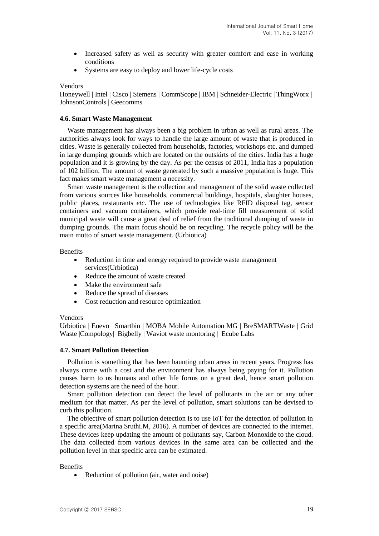- Increased safety as well as security with greater comfort and ease in working conditions
- Systems are easy to deploy and lower life-cycle costs

#### Vendors

Honeywell | Intel | Cisco | Siemens | CommScope | IBM | Schneider-Electric | ThingWorx | JohnsonControls | Geecomms

#### **4.6. Smart Waste Management**

Waste management has always been a big problem in urban as well as rural areas. The authorities always look for ways to handle the large amount of waste that is produced in cities. Waste is generally collected from households, factories, workshops etc. and dumped in large dumping grounds which are located on the outskirts of the cities. India has a huge population and it is growing by the day. As per the census of 2011, India has a population of 102 billion. The amount of waste generated by such a massive population is huge. This fact makes smart waste management a necessity.

Smart waste management is the collection and management of the solid waste collected from various sources like households, commercial buildings, hospitals, slaughter houses, public places, restaurants *etc*. The use of technologies like RFID disposal tag, sensor containers and vacuum containers, which provide real-time fill measurement of solid municipal waste will cause a great deal of relief from the traditional dumping of waste in dumping grounds. The main focus should be on recycling. The recycle policy will be the main motto of smart waste management. (Urbiotica)

#### Benefits

- Reduction in time and energy required to provide waste management services(Urbiotica)
- Reduce the amount of waste created
- Make the environment safe
- Reduce the spread of diseases
- Cost reduction and resource optimization

#### Vendors

Urbiotica | Enevo | Smartbin | MOBA Mobile Automation MG | BreSMARTWaste | Grid Waste |Compology| Bigbelly | Waviot waste montoring | Ecube Labs

#### **4.7. Smart Pollution Detection**

Pollution is something that has been haunting urban areas in recent years. Progress has always come with a cost and the environment has always being paying for it. Pollution causes harm to us humans and other life forms on a great deal, hence smart pollution detection systems are the need of the hour.

Smart pollution detection can detect the level of pollutants in the air or any other medium for that matter. As per the level of pollution, smart solutions can be devised to curb this pollution.

The objective of smart pollution detection is to use IoT for the detection of pollution in a specific area(Marina Sruthi.M, 2016). A number of devices are connected to the internet. These devices keep updating the amount of pollutants say, Carbon Monoxide to the cloud. The data collected from various devices in the same area can be collected and the pollution level in that specific area can be estimated.

#### **Benefits**

• Reduction of pollution (air, water and noise)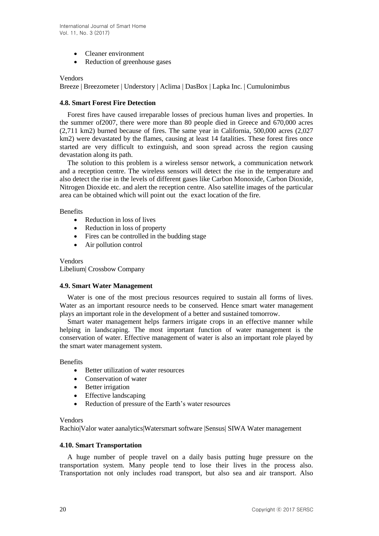- Cleaner environment
- Reduction of greenhouse gases

#### Vendors

Breeze | Breezometer | Understory | Aclima | DasBox | Lapka Inc. | Cumulonimbus

### **4.8. Smart Forest Fire Detection**

Forest fires have caused irreparable losses of precious human lives and properties. In the summer of2007, there were more than 80 people died in Greece and 670,000 acres (2,711 km2) burned because of fires. The same year in California, 500,000 acres (2,027 km2) were devastated by the flames, causing at least 14 fatalities. These forest fires once started are very difficult to extinguish, and soon spread across the region causing devastation along its path.

The solution to this problem is a wireless sensor network, a communication network and a reception centre. The wireless sensors will detect the rise in the temperature and also detect the rise in the levels of different gases like Carbon Monoxide, Carbon Dioxide, Nitrogen Dioxide etc. and alert the reception centre. Also satellite images of the particular area can be obtained which will point out the exact location of the fire.

Benefits

- Reduction in loss of lives
- Reduction in loss of property
- Fires can be controlled in the budding stage
- Air pollution control

Vendors Libelium| Crossbow Company

### **4.9. Smart Water Management**

Water is one of the most precious resources required to sustain all forms of lives. Water as an important resource needs to be conserved. Hence smart water management plays an important role in the development of a better and sustained tomorrow.

Smart water management helps farmers irrigate crops in an effective manner while helping in landscaping. The most important function of water management is the conservation of water. Effective management of water is also an important role played by the smart water management system.

**Benefits** 

- Better utilization of water resources
- Conservation of water
- Better irrigation
- Effective landscaping
- Reduction of pressure of the Earth's water resources

#### Vendors

Rachio|Valor water aanalytics|Watersmart software |Sensus| SIWA Water management

### **4.10. Smart Transportation**

A huge number of people travel on a daily basis putting huge pressure on the transportation system. Many people tend to lose their lives in the process also. Transportation not only includes road transport, but also sea and air transport. Also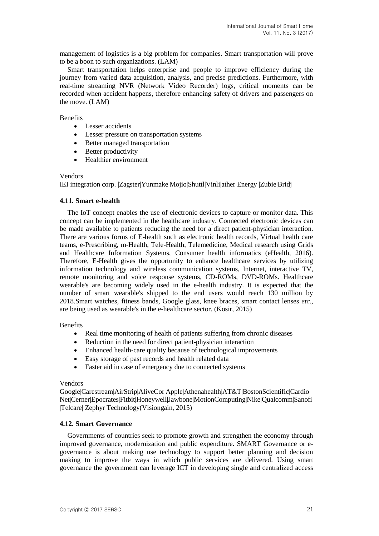management of logistics is a big problem for companies. Smart transportation will prove to be a boon to such organizations. (LAM)

Smart transportation helps enterprise and people to improve efficiency during the journey from varied data acquisition, analysis, and precise predictions. Furthermore, with real-time streaming NVR (Network Video Recorder) logs, critical moments can be recorded when accident happens, therefore enhancing safety of drivers and passengers on the move. (LAM)

**Benefits** 

- Lesser accidents
- Lesser pressure on transportation systems
- Better managed transportation
- Better productivity
- Healthier environment

#### Vendors

IEI integration corp. |Zagster|Yunmake|Mojio|Shuttl|Vinli|ather Energy |Zubie|Bridj

#### **4.11. Smart e-health**

The IoT concept enables the use of electronic devices to capture or monitor data. This concept can be implemented in the healthcare industry. Connected electronic devices can be made available to patients reducing the need for a direct patient-physician interaction. There are various forms of E-health such as electronic health records, Virtual health care teams, e-Prescribing, m-Health, Tele-Health, Telemedicine, Medical research using Grids and Healthcare Information Systems, Consumer health informatics (eHealth, 2016). Therefore, E-Health gives the opportunity to enhance healthcare services by utilizing information technology and wireless communication systems, Internet, interactive TV, remote monitoring and voice response systems, CD-ROMs, DVD-ROMs. Healthcare wearable's are becoming widely used in the e-health industry. It is expected that the number of smart wearable's shipped to the end users would reach 130 million by 2018.Smart watches, fitness bands, Google glass, knee braces, smart contact lenses *etc.*, are being used as wearable's in the e-healthcare sector. (Kosir, 2015)

#### **Benefits**

- Real time monitoring of health of patients suffering from chronic diseases
- Reduction in the need for direct patient-physician interaction
- Enhanced health-care quality because of technological improvements
- Easy storage of past records and health related data
- Faster aid in case of emergency due to connected systems

### Vendors

Google|Carestream|AirStrip|AliveCor|Apple|Athenahealth|AT&T|BostonScientific|Cardio Net|Cerner|Epocrates|Fitbit|Honeywell|Jawbone|MotionComputing|Nike|Qualcomm|Sanofi |Telcare| Zephyr Technology(Visiongain, 2015)

### **4.12. Smart Governance**

Governments of countries seek to promote growth and strengthen the economy through improved governance, modernization and public expenditure. SMART Governance or egovernance is about making use technology to support better planning and decision making to improve the ways in which public services are delivered. Using smart governance the government can leverage ICT in developing single and centralized access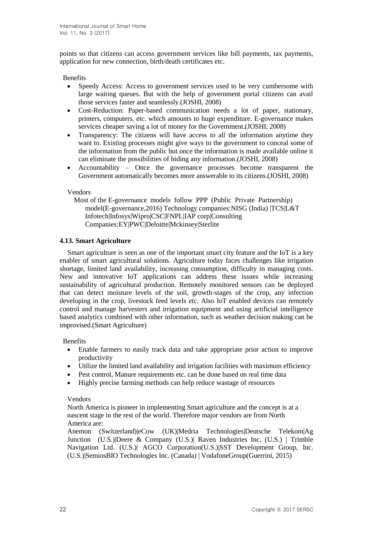points so that citizens can access government services like bill payments, tax payments, application for new connection, birth/death certificates etc.

Benefits

- Speedy Access: Access to government services used to be very cumbersome with large waiting queues. But with the help of government portal citizens can avail those services faster and seamlessly.(JOSHI, 2008)
- Cost-Reduction: Paper-based communication needs a lot of paper, stationary, printers, computers, etc. which amounts to huge expenditure. E-governance makes services cheaper saving a lot of money for the Government.(JOSHI, 2008)
- Transparency: The citizens will have access to all the information anytime they want to. Existing processes might give ways to the government to conceal some of the information from the public but once the information is made available online it can eliminate the possibilities of hiding any information.(JOSHI, 2008)
- Accountability Once the governance processes become transparent the Government automatically becomes more answerable to its citizens.(JOSHI, 2008)

### Vendors

Most of the E-governance models follow PPP (Public Private Partnership) model(E-governance,2016) Technology companies:NISG (India) |TCS|L&T Infotech|Infosys|Wipro|CSC|FNPL|IAP corp|Consulting Companies:EY|PWC|Deloitte|Mckinsey|Sterlite

### **4.13. Smart Agriculture**

Smart agriculture is seen as one of the important smart city feature and the IoT is a key enabler of smart agricultural solutions. Agriculture today faces challenges like irrigation shortage, limited land availability, increasing consumption, difficulty in managing costs. New and innovative IoT applications can address these issues while increasing sustainability of agricultural production. Remotely monitored sensors can be deployed that can detect moisture levels of the soil, growth-stages of the crop, any infection developing in the crop, livestock feed levels *etc*. Also IoT enabled devices can remotely control and manage harvesters and irrigation equipment and using artificial intelligence based analytics combined with other information, such as weather decision making can be improvised.(Smart Agriculture)

**Benefits** 

- Enable farmers to easily track data and take appropriate prior action to improve productivity
- Utilize the limited land availability and irrigation facilities with maximum efficiency
- Pest control, Manure requirements etc. can be done based on real time data
- Highly precise farming methods can help reduce wastage of resources

### Vendors

North America is pioneer in implementing Smart agriculture and the concept is at a nascent stage in the rest of the world. Therefore major vendors are from North America are:

Anemon (Switzerland)|eCow (UK)|Medria Technologies|Deutsche Telekom|Ag Junction (U.S.)|Deere & Company (U.S.)| Raven Industries Inc. (U.S.) | Trimble Navigation Ltd. (U.S.)| AGCO Corporation(U.S.)|SST Development Group, Inc. (U.S.)|SemiosBIO Technologies Inc. (Canada) | VodafoneGroup(Guerrini, 2015)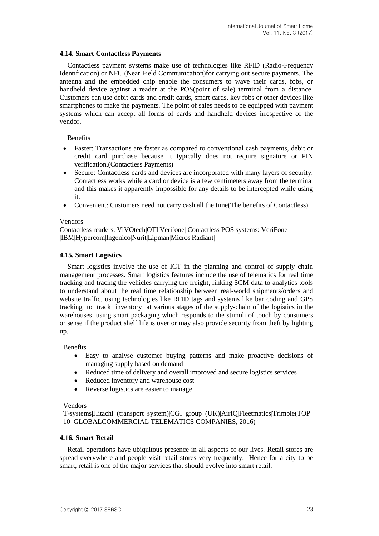### **4.14. Smart Contactless Payments**

Contactless payment systems make use of technologies like RFID (Radio-Frequency Identification) or NFC (Near Field Communication)for carrying out secure payments. The antenna and the embedded chip enable the consumers to wave their cards, fobs, or handheld device against a reader at the POS(point of sale) terminal from a distance. Customers can use debit cards and credit cards, smart cards, key fobs or other devices like smartphones to make the payments. The point of sales needs to be equipped with payment systems which can accept all forms of cards and handheld devices irrespective of the vendor.

**Benefits** 

- Faster: Transactions are faster as compared to conventional cash payments, debit or credit card purchase because it typically does not require signature or PIN verification.(Contactless Payments)
- Secure: Contactless cards and devices are incorporated with many layers of security. Contactless works while a card or device is a few centimeters away from the terminal and this makes it apparently impossible for any details to be intercepted while using it.
- Convenient: Customers need not carry cash all the time(The benefits of Contactless)

#### Vendors

Contactless readers: ViVOtech|OTI|Verifone| Contactless POS systems: VeriFone |IBM|Hypercom|Ingenico|Nurit|Lipman|Micros|Radiant|

#### **4.15. Smart Logistics**

Smart logistics involve the use of ICT in the planning and control of supply chain management processes. Smart logistics features include the use of telematics for real time tracking and tracing the vehicles carrying the freight, linking SCM data to analytics tools to understand about the real time relationship between real-world shipments/orders and website traffic, using technologies like RFID tags and systems like bar coding and GPS tracking to track inventory at various stages of the supply-chain of the logistics in the warehouses, using smart packaging which responds to the stimuli of touch by consumers or sense if the product shelf life is over or may also provide security from theft by lighting up.

**Benefits** 

- Easy to analyse customer buying patterns and make proactive decisions of managing supply based on demand
- Reduced time of delivery and overall improved and secure logistics services
- Reduced inventory and warehouse cost
- Reverse logistics are easier to manage.

#### Vendors

T-systems|Hitachi (transport system)|CGI group (UK)|AirIQ|Fleetmatics|Trimble(TOP 10 GLOBALCOMMERCIAL TELEMATICS COMPANIES, 2016)

#### **4.16. Smart Retail**

Retail operations have ubiquitous presence in all aspects of our lives. Retail stores are spread everywhere and people visit retail stores very frequently. Hence for a city to be smart, retail is one of the major services that should evolve into smart retail.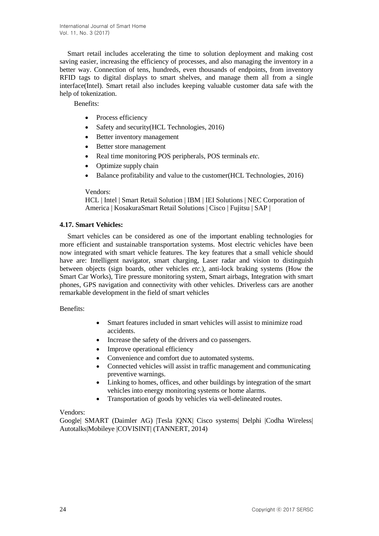Smart retail includes accelerating the time to solution deployment and making cost saving easier, increasing the efficiency of processes, and also managing the inventory in a better way. Connection of tens, hundreds, even thousands of endpoints, from inventory RFID tags to digital displays to smart shelves, and manage them all from a single interface(Intel). Smart retail also includes keeping valuable customer data safe with the help of tokenization.

Benefits:

- Process efficiency
- Safety and security (HCL Technologies, 2016)
- Better inventory management
- Better store management
- Real time monitoring POS peripherals, POS terminals *etc.*
- Optimize supply chain
- Balance profitability and value to the customer(HCL Technologies, 2016)

### Vendors:

HCL | Intel | Smart Retail Solution | IBM | IEI Solutions | NEC Corporation of America | KosakuraSmart Retail Solutions | Cisco | Fujitsu | SAP |

### **4.17. Smart Vehicles:**

Smart vehicles can be considered as one of the important enabling technologies for more efficient and sustainable transportation systems. Most electric vehicles have been now integrated with smart vehicle features. The key features that a small vehicle should have are: Intelligent navigator, smart charging, Laser radar and vision to distinguish between objects (sign boards, other vehicles *etc.*), anti-lock braking systems (How the Smart Car Works), Tire pressure monitoring system, Smart airbags, Integration with smart phones, GPS navigation and connectivity with other vehicles. Driverless cars are another remarkable development in the field of smart vehicles

Benefits:

- Smart features included in smart vehicles will assist to minimize road accidents.
- Increase the safety of the drivers and co passengers.
- Improve operational efficiency
- Convenience and comfort due to automated systems.
- Connected vehicles will assist in traffic management and communicating preventive warnings.
- Linking to homes, offices, and other buildings by integration of the smart vehicles into energy monitoring systems or home alarms.
- Transportation of goods by vehicles via well-delineated routes.

### Vendors:

Google| SMART (Daimler AG) |Tesla |QNX| Cisco systems| Delphi |Codha Wireless| Autotalks|Mobileye |COVISINT| (TANNERT, 2014)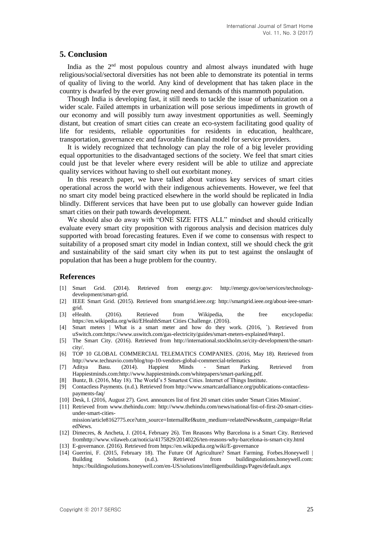### **5. Conclusion**

India as the 2<sup>nd</sup> most populous country and almost always inundated with huge religious/social/sectoral diversities has not been able to demonstrate its potential in terms of quality of living to the world. Any kind of development that has taken place in the country is dwarfed by the ever growing need and demands of this mammoth population.

Though India is developing fast, it still needs to tackle the issue of urbanization on a wider scale. Failed attempts in urbanization will pose serious impediments in growth of our economy and will possibly turn away investment opportunities as well. Seemingly distant, but creation of smart cities can create an eco-system facilitating good quality of life for residents, reliable opportunities for residents in education, healthcare, transportation, governance etc and favorable financial model for service providers.

It is widely recognized that technology can play the role of a big leveler providing equal opportunities to the disadvantaged sections of the society. We feel that smart cities could just be that leveler where every resident will be able to utilize and appreciate quality services without having to shell out exorbitant money.

In this research paper, we have talked about various key services of smart cities operational across the world with their indigenous achievements. However, we feel that no smart city model being practiced elsewhere in the world should be replicated in India blindly. Different services that have been put to use globally can however guide Indian smart cities on their path towards development.

We should also do away with "ONE SIZE FITS ALL" mindset and should critically evaluate every smart city proposition with rigorous analysis and decision matrices duly supported with broad forecasting features. Even if we come to consensus with respect to suitability of a proposed smart city model in Indian context, still we should check the grit and sustainability of the said smart city when its put to test against the onslaught of population that has been a huge problem for the country.

#### **References**

- [1] Smart Grid. (2014). Retrieved from energy.gov: http://energy.gov/oe/services/technologydevelopment/smart-grid.
- [2] IEEE Smart Grid. (2015). Retrieved from smartgrid.ieee.org: http://smartgrid.ieee.org/about-ieee-smartgrid.
- [3] eHealth. (2016). Retrieved from Wikipedia, the free encyclopedia: https://en.wikipedia.org/wiki/EHealthSmart Cities Challenge. (2016).
- [4] Smart meters | What is a smart meter and how do they work. (2016, `). Retrieved from uSwitch.com:https://www.uswitch.com/gas-electricity/guides/smart-meters-explained/#step1.
- [5] The Smart City. (2016). Retrieved from http://international.stockholm.se/city-development/the-smartcity/.
- [6] TOP 10 GLOBAL COMMERCIAL TELEMATICS COMPANIES. (2016, May 18). Retrieved from <http://www.technavio.com/blog/top-10-vendors-global-commercial-telematics>
- [7] Aditya Basu. (2014). Happiest Minds Smart Parking. Retrieved from Happiestminds.com[:http://www.happiestminds.com/whitepapers/smart-parking.pdf.](http://www.happiestminds.com/whitepapers/smart-parking.pdf)
- [8] Buntz, B. (2016, May 18). The World's 5 Smartest Cities. Internet of Things Institute.
- [9] Contactless Payments. (n.d.). Retrieved from http://www.smartcardalliance.org/publications-contactlesspayments-faq/
- [10] Desk, I. (2016, August 27). Govt. announces list of first 20 smart cities under 'Smart Cities Mission'.
- [11] Retrieved from www.thehindu.com: http://www.thehindu.com/news/national/list-of-first-20-smart-citiesunder-smart-citiesmission/article8162775.ece?utm\_source=InternalRef&utm\_medium=relatedNews&utm\_campaign=Relat edNews.
- [12] Dimecres, & Ancheta, J. (2014, February 26). Ten Reasons Why Barcelona is a Smart City. Retrieved fro[mhttp://www.vilaweb.cat/noticia/4175829/20140226/ten-reasons-why-barcelona-is-smart-c](http://www.vilaweb.cat/noticia/4175829/20140226/ten-reasons-why-barcelona-is-smart-)ity.html
- [13] E-governance. (2016). Retrieved from https://en.wikipedia.org/wiki/E-governance
- [14] Guerrini, F. (2015, February 18). The Future Of Agriculture? Smart Farming. Forbes.Honeywell | Building Solutions. (n.d.). Retrieved from buildingsolutions.honeywell.com: https://buildingsolutions.honeywell.com/en-US/solutions/intelligentbuildings/Pages/default.aspx